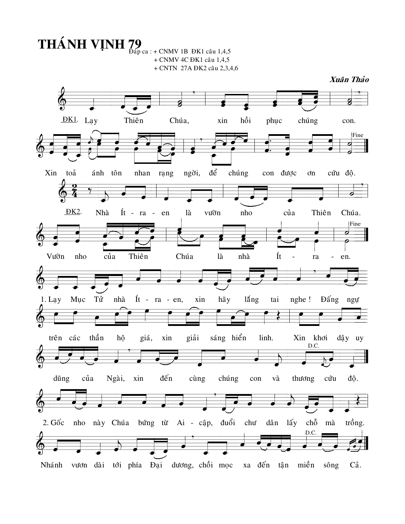**THÁNH VINH 79** DÁP CA : + CNMV 1B DK1 câu 1,4,5 + CNMV 4C ĐK1 câu 1,4,5 + CNTN 27A ĐK2 câu 2,3,4,6 Xuân Thảo  $DK1$ . Thiên hồi Lay Chúa, chúng phục xin con. Fine Xin toå để chúng ánh tôn nhan rang ngời, con được  $\sigma$ n cứu độ. <u>DK2</u>. Nhà Ít - ra - en là vườn nho của Thiên Chúa. Fine  $\overline{\mathcal{L}}$ Vườn của Thiên Chúa là nhà Ít nho  $\overline{a}$ ra en.  $\overline{a}$  $1.$  Lay Mục Tử  $\mathbf{n}\mathbf{h}\mathbf{\hat{a}}$  $\text{It}$  - ra - en, xin hãy láng tai nghe! Đấng ngự sáng hiển trên các thần hộ giá, giải linh. xin Xin khơi dậy uy D.C. đến của Ngài, xin dũng cùng chúng con và thương cứu độ. 2. Gốc nho này Chúa bứng từ Ai - cập, đuổi chư dân lấy chỗ mà trồng. D.C

Nhánh vươn dài tới phía Đại dương, chồi mọc xa đến tận miền sông Cả.